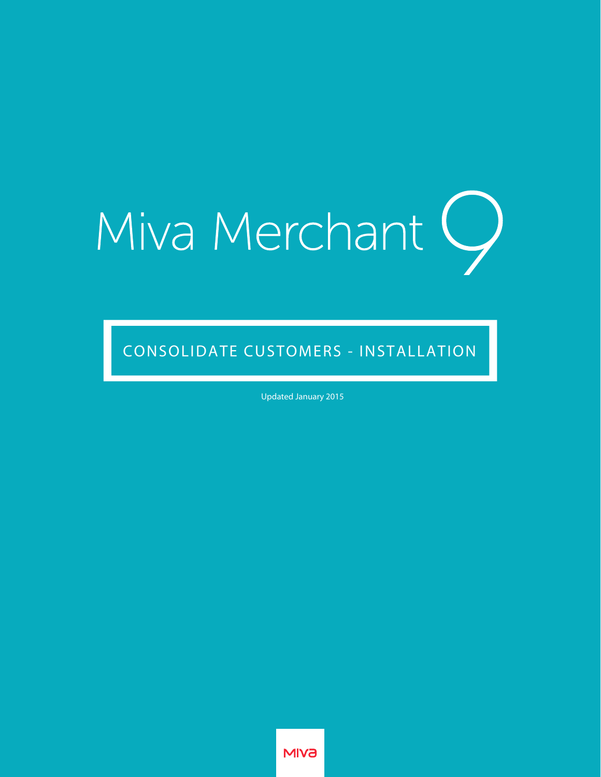# Miva Merchant Q

CONSOLIDATE CUSTOMERS - INSTALLATION

Updated January 2015

**MIV<sub>a</sub>**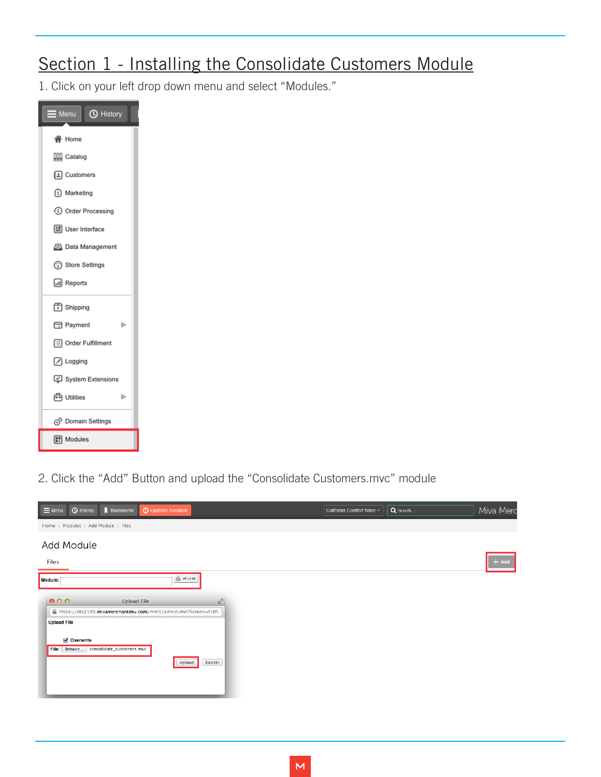# Section 1 - Installing the Consolidate Customers Module

1. Click on your left drop down menu and select "Modules."



2. Click the "Add" Button and upload the "Consolidate Customers.mvc" module

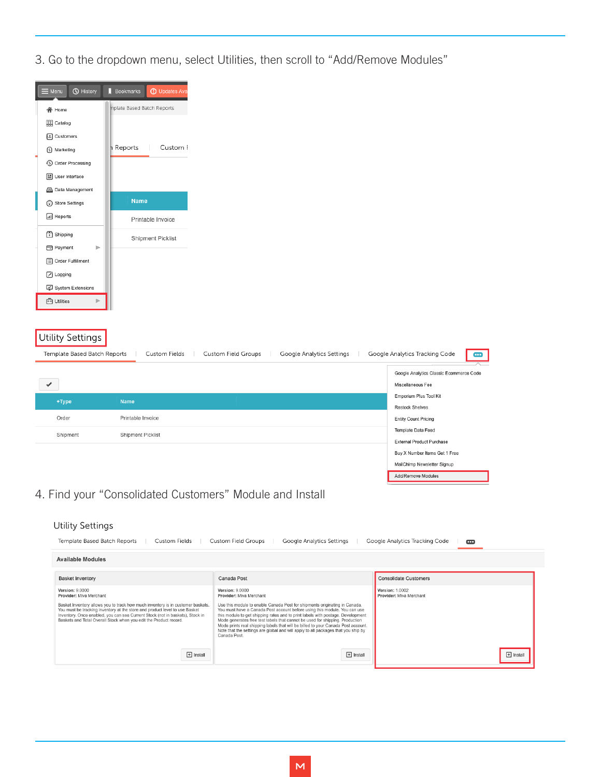3. Go to the dropdown menu, select Utilities, then scroll to "Add/Remove Modules"

| $\equiv$ Menu                                            | <b><i>O</i></b> History                                                                                                                                             | <b>Bookmarks</b><br><b>1</b> Updates Ava                                                                                                           |                                                   |                                                                                                                                                                                                                                                                                                                                           |                |                                                              |                |  |
|----------------------------------------------------------|---------------------------------------------------------------------------------------------------------------------------------------------------------------------|----------------------------------------------------------------------------------------------------------------------------------------------------|---------------------------------------------------|-------------------------------------------------------------------------------------------------------------------------------------------------------------------------------------------------------------------------------------------------------------------------------------------------------------------------------------------|----------------|--------------------------------------------------------------|----------------|--|
|                                                          | <b>谷</b> Home                                                                                                                                                       | nplate Based Batch Reports                                                                                                                         |                                                   |                                                                                                                                                                                                                                                                                                                                           |                |                                                              |                |  |
|                                                          | <b>QQ</b> Catalog                                                                                                                                                   |                                                                                                                                                    |                                                   |                                                                                                                                                                                                                                                                                                                                           |                |                                                              |                |  |
|                                                          | {a] Customers                                                                                                                                                       |                                                                                                                                                    |                                                   |                                                                                                                                                                                                                                                                                                                                           |                |                                                              |                |  |
|                                                          | (5) Marketing                                                                                                                                                       | n Reports<br>Custom I                                                                                                                              |                                                   |                                                                                                                                                                                                                                                                                                                                           |                |                                                              |                |  |
|                                                          | <b>5</b> Order Processing                                                                                                                                           |                                                                                                                                                    |                                                   |                                                                                                                                                                                                                                                                                                                                           |                |                                                              |                |  |
|                                                          | User Interface                                                                                                                                                      |                                                                                                                                                    |                                                   |                                                                                                                                                                                                                                                                                                                                           |                |                                                              |                |  |
|                                                          | <b>E</b> Data Management                                                                                                                                            |                                                                                                                                                    |                                                   |                                                                                                                                                                                                                                                                                                                                           |                |                                                              |                |  |
|                                                          | Store Settings                                                                                                                                                      | Name                                                                                                                                               |                                                   |                                                                                                                                                                                                                                                                                                                                           |                |                                                              |                |  |
|                                                          | III Reports                                                                                                                                                         | Printable Invoice                                                                                                                                  |                                                   |                                                                                                                                                                                                                                                                                                                                           |                |                                                              |                |  |
|                                                          | Shipping                                                                                                                                                            |                                                                                                                                                    |                                                   |                                                                                                                                                                                                                                                                                                                                           |                |                                                              |                |  |
|                                                          | Payment<br>Þ                                                                                                                                                        | <b>Shipment Picklist</b>                                                                                                                           |                                                   |                                                                                                                                                                                                                                                                                                                                           |                |                                                              |                |  |
|                                                          | [: Order Fulfillment                                                                                                                                                |                                                                                                                                                    |                                                   |                                                                                                                                                                                                                                                                                                                                           |                |                                                              |                |  |
|                                                          | A Logging                                                                                                                                                           |                                                                                                                                                    |                                                   |                                                                                                                                                                                                                                                                                                                                           |                |                                                              |                |  |
|                                                          | <b>○</b> System Extensions                                                                                                                                          |                                                                                                                                                    |                                                   |                                                                                                                                                                                                                                                                                                                                           |                |                                                              |                |  |
|                                                          | <b>色</b> Utilities                                                                                                                                                  |                                                                                                                                                    |                                                   |                                                                                                                                                                                                                                                                                                                                           |                |                                                              |                |  |
|                                                          |                                                                                                                                                                     |                                                                                                                                                    |                                                   |                                                                                                                                                                                                                                                                                                                                           |                |                                                              |                |  |
|                                                          |                                                                                                                                                                     |                                                                                                                                                    |                                                   |                                                                                                                                                                                                                                                                                                                                           |                |                                                              |                |  |
|                                                          | <b>Utility Settings</b>                                                                                                                                             |                                                                                                                                                    |                                                   |                                                                                                                                                                                                                                                                                                                                           |                |                                                              |                |  |
|                                                          | Template Based Batch Reports                                                                                                                                        | Custom Fields                                                                                                                                      | Custom Field Groups                               | Google Analytics Settings                                                                                                                                                                                                                                                                                                                 |                | Google Analytics Tracking Code<br>e                          |                |  |
|                                                          |                                                                                                                                                                     |                                                                                                                                                    |                                                   |                                                                                                                                                                                                                                                                                                                                           |                | Google Analytics Classic Ecommerce Code                      |                |  |
|                                                          |                                                                                                                                                                     |                                                                                                                                                    |                                                   |                                                                                                                                                                                                                                                                                                                                           |                | Miscellaneous Fee                                            |                |  |
|                                                          |                                                                                                                                                                     |                                                                                                                                                    |                                                   |                                                                                                                                                                                                                                                                                                                                           |                | Emporium Plus Tool Kit                                       |                |  |
|                                                          | +Type                                                                                                                                                               | <b>Name</b>                                                                                                                                        |                                                   |                                                                                                                                                                                                                                                                                                                                           |                | <b>Restock Shelves</b>                                       |                |  |
|                                                          | Order                                                                                                                                                               | Printable Invoice                                                                                                                                  |                                                   |                                                                                                                                                                                                                                                                                                                                           |                | <b>Entity Count Pricing</b>                                  |                |  |
|                                                          | Shipment                                                                                                                                                            | Shipment Picklist                                                                                                                                  |                                                   |                                                                                                                                                                                                                                                                                                                                           |                | Template Data Feed                                           |                |  |
|                                                          |                                                                                                                                                                     |                                                                                                                                                    |                                                   |                                                                                                                                                                                                                                                                                                                                           |                | <b>External Product Purchase</b>                             |                |  |
|                                                          |                                                                                                                                                                     |                                                                                                                                                    |                                                   |                                                                                                                                                                                                                                                                                                                                           |                | Buy X Number Items Get 1 Free<br>MailChimp Newsletter Signup |                |  |
|                                                          |                                                                                                                                                                     |                                                                                                                                                    |                                                   |                                                                                                                                                                                                                                                                                                                                           |                | Add/Remove Modules                                           |                |  |
|                                                          |                                                                                                                                                                     |                                                                                                                                                    |                                                   |                                                                                                                                                                                                                                                                                                                                           |                |                                                              |                |  |
| 4. Find your "Consolidated Customers" Module and Install |                                                                                                                                                                     |                                                                                                                                                    |                                                   |                                                                                                                                                                                                                                                                                                                                           |                |                                                              |                |  |
|                                                          |                                                                                                                                                                     |                                                                                                                                                    |                                                   |                                                                                                                                                                                                                                                                                                                                           |                |                                                              |                |  |
| Utility Settings                                         |                                                                                                                                                                     |                                                                                                                                                    |                                                   |                                                                                                                                                                                                                                                                                                                                           |                |                                                              |                |  |
|                                                          | Template Based Batch Reports<br><b>Custom Field Groups</b><br>Google Analytics Settings<br>Google Analytics Tracking Code<br><b>Custom Fields</b><br>$\blacksquare$ |                                                                                                                                                    |                                                   |                                                                                                                                                                                                                                                                                                                                           |                |                                                              |                |  |
|                                                          | <b>Available Modules</b>                                                                                                                                            |                                                                                                                                                    |                                                   |                                                                                                                                                                                                                                                                                                                                           |                |                                                              |                |  |
|                                                          | <b>Basket Inventory</b>                                                                                                                                             |                                                                                                                                                    | Canada Post                                       |                                                                                                                                                                                                                                                                                                                                           |                | <b>Consolidate Customers</b>                                 |                |  |
|                                                          | <b>Version: 9.0000</b><br>Provider: Miva Merchant                                                                                                                   |                                                                                                                                                    | <b>Version: 9.0000</b><br>Provider: Miva Merchant |                                                                                                                                                                                                                                                                                                                                           |                | <b>Version: 1.0002</b><br>Provider: Miva Merchant            |                |  |
|                                                          | Basket Inventory allows you to track how much inventory is in customer baskets.<br>You must be tracking inventory at the store and product level to use Basket      |                                                                                                                                                    |                                                   | Use this module to enable Canada Post for shipments originating in Canada.<br>You must have a Canada Post account before using this module. You can use                                                                                                                                                                                   |                |                                                              |                |  |
|                                                          |                                                                                                                                                                     | Inventory. Once enabled, you can see Current Stock (not in baskets), Stock in<br>Baskets and Total Overall Stock when you edit the Product record. | Canada Post.                                      | this module to get shipping rates and to print labels with postage. Development<br>Mode generates free test labels that cannot be used for shipping. Production<br>Mode prints real shipping labels that will be billed to your Canada Post account.<br>Note that the settings are global and will apply to all packages that you ship by |                |                                                              |                |  |
|                                                          |                                                                                                                                                                     | $\Box$ Install                                                                                                                                     |                                                   |                                                                                                                                                                                                                                                                                                                                           | $\Box$ Install |                                                              | $\Box$ Install |  |
|                                                          |                                                                                                                                                                     |                                                                                                                                                    |                                                   |                                                                                                                                                                                                                                                                                                                                           |                |                                                              |                |  |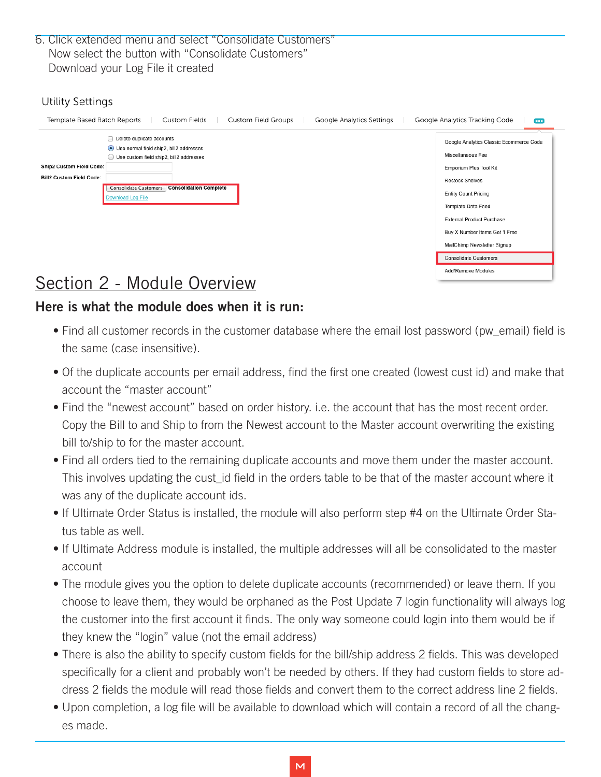6. Click extended menu and select "Consolidate Customers" Now select the button with "Consolidate Customers" Download your Log File it created

### Utility Settings

| Template Based Batch Reports<br>Custom Fields<br>Custom Field Groups<br>Google Analytics Settings                                                                                                                                                                           | Google Analytics Tracking Code<br>m                                                                                                                                                                                                                                       |
|-----------------------------------------------------------------------------------------------------------------------------------------------------------------------------------------------------------------------------------------------------------------------------|---------------------------------------------------------------------------------------------------------------------------------------------------------------------------------------------------------------------------------------------------------------------------|
| Delete duplicate accounts<br>Use normal field ship2, bill2 addresses<br>Use custom field ship2, bill2 addresses<br><b>Ship2 Custom Field Code:</b><br><b>Bill2 Custom Field Code:</b><br><b>Consolidation Complete</b><br><b>Consolidate Customers</b><br>Download Log File | Google Analytics Classic Ecommerce Code<br>Miscellaneous Fee<br>Emporium Plus Tool Kit<br><b>Restock Shelves</b><br><b>Entity Count Pricing</b><br>Template Data Feed<br><b>External Product Purchase</b><br>Buy X Number Items Get 1 Free<br>MailChimp Newsletter Signup |
|                                                                                                                                                                                                                                                                             | <b>Consolidate Customers</b><br>Add/Remove Modules                                                                                                                                                                                                                        |

# Section 2 - Module Overview

## Here is what the module does when it is run:

- Find all customer records in the customer database where the email lost password (pw\_email) field is the same (case insensitive).
- Of the duplicate accounts per email address, find the first one created (lowest cust id) and make that account the "master account"
- Find the "newest account" based on order history. i.e. the account that has the most recent order. Copy the Bill to and Ship to from the Newest account to the Master account overwriting the existing bill to/ship to for the master account.
- Find all orders tied to the remaining duplicate accounts and move them under the master account. This involves updating the cust\_id field in the orders table to be that of the master account where it was any of the duplicate account ids.
- If Ultimate Order Status is installed, the module will also perform step #4 on the Ultimate Order Status table as well.
- If Ultimate Address module is installed, the multiple addresses will all be consolidated to the master account
- The module gives you the option to delete duplicate accounts (recommended) or leave them. If you choose to leave them, they would be orphaned as the Post Update 7 login functionality will always log the customer into the first account it finds. The only way someone could login into them would be if they knew the "login" value (not the email address)
- There is also the ability to specify custom fields for the bill/ship address 2 fields. This was developed specifically for a client and probably won't be needed by others. If they had custom fields to store address 2 fields the module will read those fields and convert them to the correct address line 2 fields.
- Upon completion, a log file will be available to download which will contain a record of all the changes made.